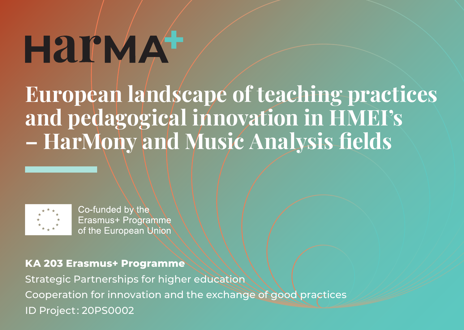# **HAI'MA<sup>+</sup>**

**European landscape of teaching practices and pedagogical innovation in HMEI's – HarMony and Music Analysis fields**



Co-funded by the Erasmus+ Programme of the European Union

**KA 203 Erasmus+ Programme** Strategic Partnerships for higher education Cooperation for innovation and the exchange of good practices ID Project : 20PS0002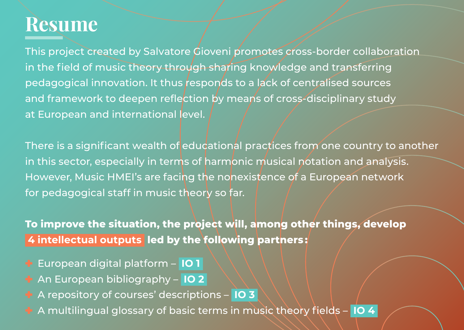## **Resume**

This project created by Salvatore Gioveni promotes cross-border collaboration in the field of music theory through sharing knowledge and transferring pedagogical innovation. It thus responds to a lack of centralised sources and framework to deepen reflection by means of cross-disciplinary study at European and international level.

There is a significant wealth of educational practices from one country to another in this sector, especially in terms of harmonic musical notation and analysis. However, Music HMEI's are facing the nonexistence of a European network for pedagogical staff in music theory so far.

**To improve the situation, the project will, among other things, develop 4 intellectual outputs led by the following partners :** 

- ✚ European digital platform **IO 1**
- ✚ An European bibliography **IO 2**
- ✚ A repository of courses' descriptions **IO 3**
- ✚ A multilingual glossary of basic terms in music theory fields **IO 4**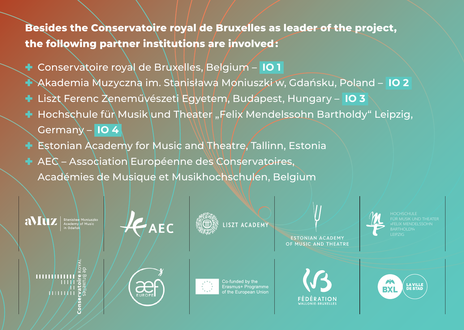**Besides the Conservatoire royal de Bruxelles as leader of the project, the following partner institutions are involved :** 

- ✚ Conservatoire royal de Bruxelles, Belgium **IO 1**
- ✚ Akademia Muzyczna im. Stanisława Moniuszki w, Gdańsku, Poland **IO 2**
- ✚ Liszt Ferenc Zeneművészeti Egyetem, Budapest, Hungary **IO 3**
- **+ Hochschule für Musik und Theater "Felix Mendelssohn Bartholdy" Leipzig,** Germany – **IO 4**
- **Estonian Academy for Music and Theatre, Tallinn, Estonia**
- ✚ AEC Association Européenne des Conservatoires, Académies de Musique et Musikhochschulen, Belgium

aMuz | Stanisław Moniuszko

 $H_{AEC}$ 

LISZT ACADEMY

ESTONIAN ACADEMY OF MUSIC AND THEATRE

muhami ahaan di





Co-runded by the<br>Erasmus+ Programme



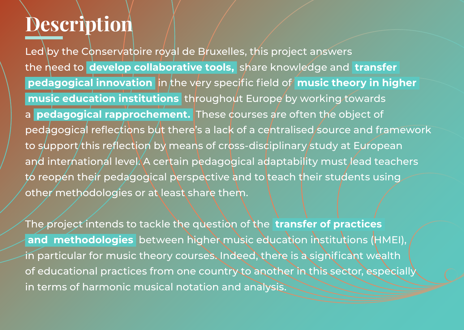#### **Description**

Led by the Conservatoire royal de Bruxelles, this project answers the need to **develop collaborative tools,** share knowledge and **transfer pedagogical innovation** in the very specific field of **music theory in higher music education institutions** throughout Europe by working towards a **pedagogical rapprochement.** These courses are often the object of pedagogical reflections but there's a lack of a centralised source and framework to support this reflection by means of cross-disciplinary study at European and international level. A certain pedagogical adaptability must lead teachers to reopen their pedagogical perspective and to teach their students using other methodologies or at least share them.

The project intends to tackle the question of the **transfer of practices and methodologies** between higher music education institutions (HMEI), in particular for music theory courses. Indeed, there is a significant wealth of educational practices from one country to another in this sector, especially in terms of harmonic musical notation and analysis.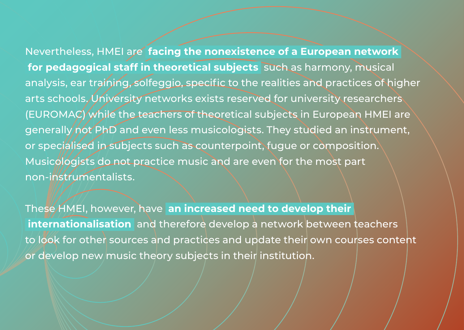Nevertheless, HMEI are **facing the nonexistence of a European network for pedagogical staff in theoretical subjects** such as harmony, musical analysis, ear training, solfeggio, specific to the realities and practices of higher arts schools. University networks exists reserved for university researchers (EUROMAC) while the teachers of theoretical subjects in European HMEI are generally not PhD and even less musicologists. They studied an instrument, or specialised in subjects such as counterpoint, fugue or composition. Musicologists do not practice music and are even for the most part non-instrumentalists.

These HMEI, however, have **an increased need to develop their internationalisation** and therefore develop a network between teachers to look for other sources and practices and update their own courses content or develop new music theory subjects in their institution.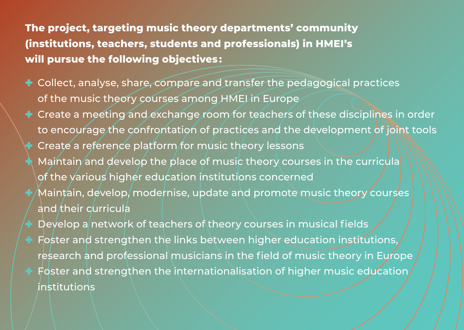**The project, targeting music theory departments' community (institutions, teachers, students and professionals) in HMEI's will pursue the following objectives :** 

- $**$\div$  Collect, analyse, share, compare and transfer the pedagogical practices**$ of the music theory courses among HMEI in Europe
- $**$\bullet$  Create a meeting and exchange room for teachers of these disciplines in order**$ to encourage the confrontation of practices and the development of joint tools
- Create a reference platform for music theory lessons
- Maintain and develop the place of music theory courses in the curricula of the various higher education institutions concerned
- $^\prime$ Maintain, develop, modernise, update and promote music theory courses and their curricula
- Develop a network of teachers of theory courses in musical fields
- Foster and strengthen the links between higher education institutions, research and professional musicians in the field of music theory in Europe
- ✚ Foster and strengthen the internationalisation of higher music education institutions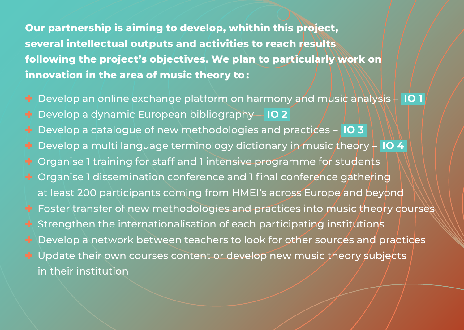**Our partnership is aiming to develop, whithin this project, several intellectual outputs and activities to reach results following the project's objectives. We plan to particularly work on innovation in the area of music theory to :** 

- ✚ Develop an online exchange platform on harmony and music analysis **IO 1**
- ✚ Develop a dynamic European bibliography **IO 2**
- ✚ Develop a catalogue of new methodologies and practices – **IO 3**
- Develop a multi language terminology dictionary in music theory  $\frac{1}{2}$  **IO 4**
- Organise 1 training for staff and 1 intensive programme for students
- ✚ Organise 1 dissemination conference and 1 final conference gathering at least 200 participants coming from HMEI's across Europe and beyond ✚ Foster transfer of new methodologies and practices into music theory courses Strengthen the internationalisation of each participating institutions ✚ Develop a network between teachers to look for other sources and practices
- Update their own courses content or develop new music theory subjects in their institution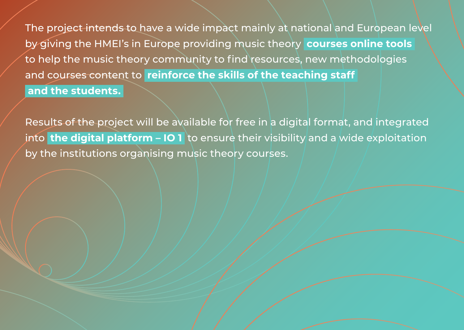The project intends to have a wide impact mainly at national and European level by giving the HMEI's in Europe providing music theory **courses online tools** to help the music theory community to find resources, new methodologies and courses content to **reinforce the skills of the teaching staff and the students.**

Results of the project will be available for free in a digital format, and integrated into **the digital platform – IO 1** to ensure their visibility and a wide exploitation by the institutions organising music theory courses.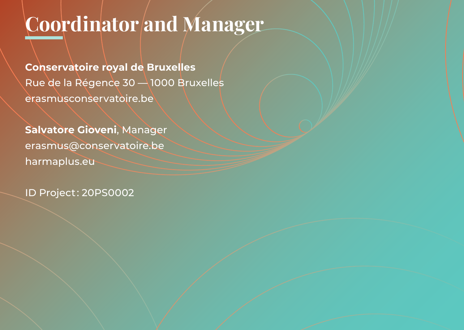# **Coordinator and Manager**

**Conservatoire royal de Bruxelles** Rue de la Régence 30 - 1000 Bruxelles [erasmusconservatoire.be](http://erasmusconservatoire.be)

**Salvatore Gioveni**, Manager [erasmus@conservatoire.be](mailto:erasmus@conservatoire.be) [harmaplus.eu](http://harmaplus.eu)

ID Project : 20PS0002